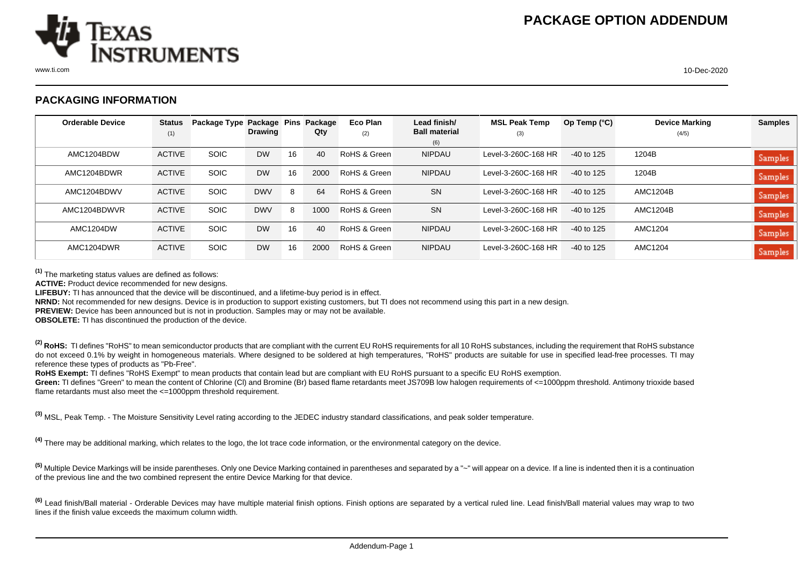

## **PACKAGING INFORMATION**

| <b>Orderable Device</b> | <b>Status</b> | Package Type Package Pins |                |    | Package | Eco Plan     | Lead finish/         | <b>MSL Peak Temp</b> | Op Temp $(°C)$ | <b>Device Marking</b> | <b>Samples</b> |
|-------------------------|---------------|---------------------------|----------------|----|---------|--------------|----------------------|----------------------|----------------|-----------------------|----------------|
|                         | (1)           |                           | <b>Drawing</b> |    | Qty     | (2)          | <b>Ball material</b> | (3)                  |                | (4/5)                 |                |
|                         |               |                           |                |    |         |              | (6)                  |                      |                |                       |                |
| AMC1204BDW              | <b>ACTIVE</b> | <b>SOIC</b>               | <b>DW</b>      | 16 | 40      | RoHS & Green | <b>NIPDAU</b>        | Level-3-260C-168 HR  | $-40$ to 125   | 1204B                 | <b>Samples</b> |
| AMC1204BDWR             | <b>ACTIVE</b> | <b>SOIC</b>               | <b>DW</b>      | 16 | 2000    | RoHS & Green | <b>NIPDAU</b>        | Level-3-260C-168 HR  | $-40$ to 125   | 1204B                 | <b>Samples</b> |
| AMC1204BDWV             | <b>ACTIVE</b> | <b>SOIC</b>               | <b>DWV</b>     | 8  | 64      | RoHS & Green | <b>SN</b>            | Level-3-260C-168 HR  | $-40$ to 125   | AMC1204B              | <b>Samples</b> |
| AMC1204BDWVR            | <b>ACTIVE</b> | <b>SOIC</b>               | <b>DWV</b>     | 8  | 1000    | RoHS & Green | <b>SN</b>            | Level-3-260C-168 HR  | $-40$ to 125   | <b>AMC1204B</b>       | <b>Samples</b> |
| AMC1204DW               | <b>ACTIVE</b> | <b>SOIC</b>               | <b>DW</b>      | 16 | 40      | RoHS & Green | <b>NIPDAU</b>        | Level-3-260C-168 HR  | $-40$ to 125   | AMC1204               | <b>Samples</b> |
| AMC1204DWR              | <b>ACTIVE</b> | <b>SOIC</b>               | <b>DW</b>      | 16 | 2000    | RoHS & Green | <b>NIPDAU</b>        | Level-3-260C-168 HR  | $-40$ to 125   | AMC1204               | <b>Samples</b> |

**(1)** The marketing status values are defined as follows:

**ACTIVE:** Product device recommended for new designs.

**LIFEBUY:** TI has announced that the device will be discontinued, and a lifetime-buy period is in effect.

**NRND:** Not recommended for new designs. Device is in production to support existing customers, but TI does not recommend using this part in a new design.

**PREVIEW:** Device has been announced but is not in production. Samples may or may not be available.

**OBSOLETE:** TI has discontinued the production of the device.

<sup>(2)</sup> RoHS: TI defines "RoHS" to mean semiconductor products that are compliant with the current EU RoHS requirements for all 10 RoHS substances, including the requirement that RoHS substance do not exceed 0.1% by weight in homogeneous materials. Where designed to be soldered at high temperatures, "RoHS" products are suitable for use in specified lead-free processes. TI may reference these types of products as "Pb-Free".

RoHS Exempt: TI defines "RoHS Exempt" to mean products that contain lead but are compliant with EU RoHS pursuant to a specific EU RoHS exemption.

Green: TI defines "Green" to mean the content of Chlorine (CI) and Bromine (Br) based flame retardants meet JS709B low halogen requirements of <=1000ppm threshold. Antimony trioxide based flame retardants must also meet the <=1000ppm threshold requirement.

**(3)** MSL, Peak Temp. - The Moisture Sensitivity Level rating according to the JEDEC industry standard classifications, and peak solder temperature.

**(4)** There may be additional marking, which relates to the logo, the lot trace code information, or the environmental category on the device.

**(5)** Multiple Device Markings will be inside parentheses. Only one Device Marking contained in parentheses and separated by a "~" will appear on a device. If a line is indented then it is a continuation of the previous line and the two combined represent the entire Device Marking for that device.

<sup>(6)</sup> Lead finish/Ball material - Orderable Devices may have multiple material finish options. Finish options are separated by a vertical ruled line. Lead finish/Ball material values may wrap to two lines if the finish value exceeds the maximum column width.